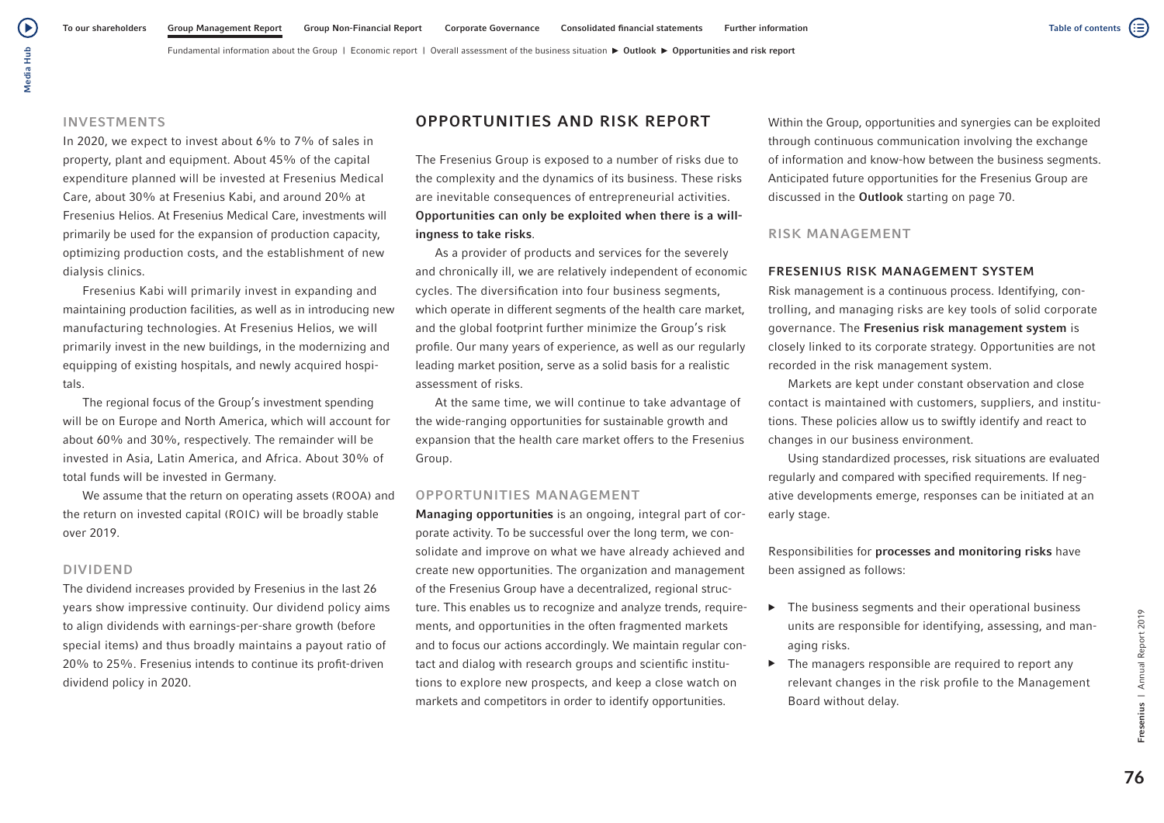# INVESTMENTS

In 2020, we expect to invest about 6% to 7% of sales in property, plant and equipment. About 45% of the capital expenditure planned will be invested at Fresenius Medical Care, about 30% at Fresenius Kabi, and around 20% at Fresenius Helios. At Fresenius Medical Care, investments will primarily be used for the expansion of production capacity, optimizing production costs, and the establishment of new dialysis clinics.

Fresenius Kabi will primarily invest in expanding and maintaining production facilities, as well as in introducing new manufacturing technologies. At Fresenius Helios, we will primarily invest in the new buildings, in the modernizing and equipping of existing hospitals, and newly acquired hospitals.

The regional focus of the Group's investment spending will be on Europe and North America, which will account for about 60% and 30%, respectively. The remainder will be invested in Asia, Latin America, and Africa. About 30% of total funds will be invested in Germany.

We assume that the return on operating assets (ROOA) and the return on invested capital (ROIC) will be broadly stable over 2019.

#### DIVIDEND

The dividend increases provided by Fresenius in the last 26 years show impressive continuity. Our dividend policy aims to align dividends with earnings-per-share growth (before special items) and thus broadly maintains a payout ratio of 20% to 25%. Fresenius intends to continue its profit-driven dividend policy in 2020.

# OPPORTUNITIES AND RISK REPORT

The Fresenius Group is exposed to a number of risks due to the complexity and the dynamics of its business. These risks are inevitable consequences of entrepreneurial activities. Opportunities can only be exploited when there is a willingness to take risks.

As a provider of products and services for the severely and chronically ill, we are relatively independent of economic cycles. The diversification into four business segments, which operate in different segments of the health care market, and the global footprint further minimize the Group's risk profile. Our many years of experience, as well as our regularly leading market position, serve as a solid basis for a realistic assessment of risks.

At the same time, we will continue to take advantage of the wide-ranging opportunities for sustainable growth and expansion that the health care market offers to the Fresenius Group.

## OPPORTUNITIES MANAGEMENT

Managing opportunities is an ongoing, integral part of corporate activity. To be successful over the long term, we consolidate and improve on what we have already achieved and create new opportunities. The organization and management of the Fresenius Group have a decentralized, regional structure. This enables us to recognize and analyze trends, requirements, and opportunities in the often fragmented markets and to focus our actions accordingly. We maintain regular contact and dialog with research groups and scientific institutions to explore new prospects, and keep a close watch on markets and competitors in order to identify opportunities.

Within the Group, opportunities and synergies can be exploited through continuous communication involving the exchange of information and know-how between the business segments. Anticipated future opportunities for the Fresenius Group are discussed in the Outlook starting on page 70.

### RISK MANAGEMENT

#### FRESENIUS RISK MANAGEMENT SYSTEM

Risk management is a continuous process. Identifying, controlling, and managing risks are key tools of solid corporate governance. The Fresenius risk management system is closely linked to its corporate strategy. Opportunities are not recorded in the risk management system.

Markets are kept under constant observation and close contact is maintained with customers, suppliers, and institutions. These policies allow us to swiftly identify and react to changes in our business environment.

Using standardized processes, risk situations are evaluated regularly and compared with specified requirements. If negative developments emerge, responses can be initiated at an early stage.

Responsibilities for processes and monitoring risks have been assigned as follows:

- $\blacktriangleright$  The business segments and their operational business units are responsible for identifying, assessing, and managing risks.
- ▶ The managers responsible are required to report any relevant changes in the risk profile to the Management Board without delay.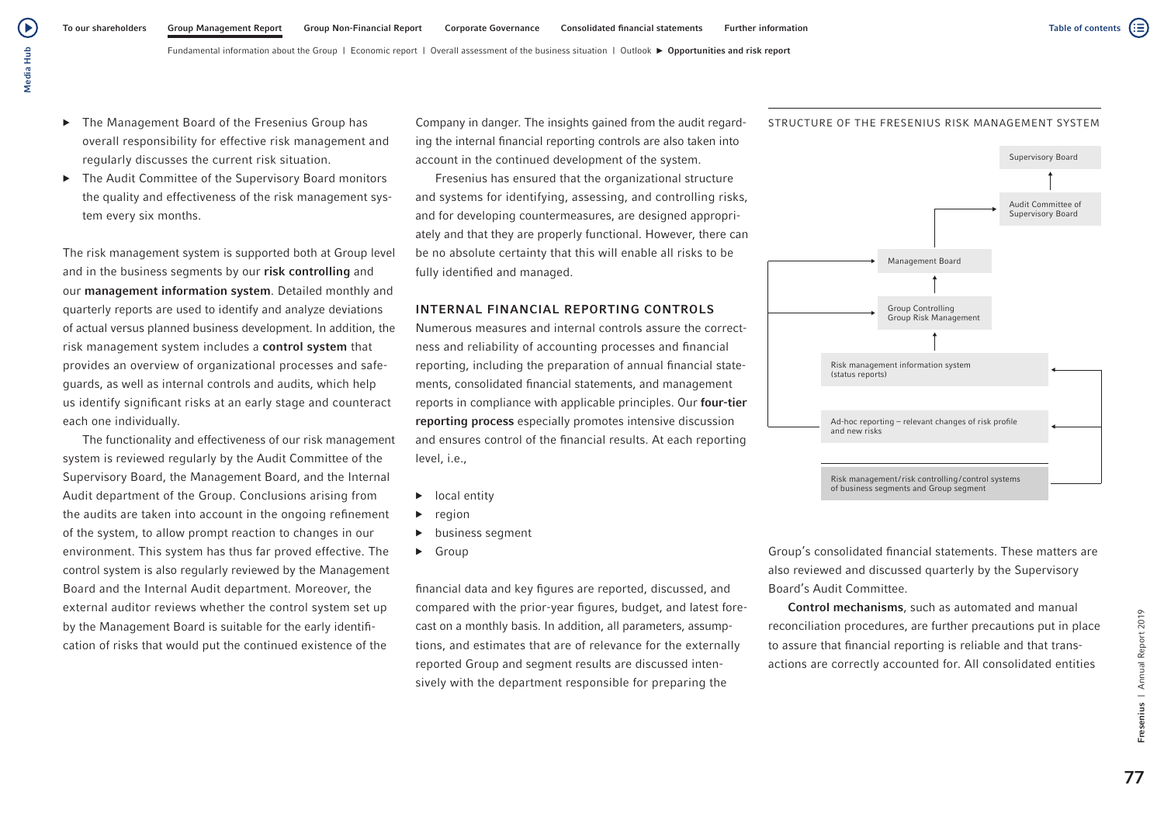- ▶ The Management Board of the Fresenius Group has overall responsibility for effective risk management and regularly discusses the current risk situation.
- ▶ The Audit Committee of the Supervisory Board monitors the quality and effectiveness of the risk management system every six months.

The risk management system is supported both at Group level and in the business segments by our risk controlling and our management information system. Detailed monthly and quarterly reports are used to identify and analyze deviations of actual versus planned business development. In addition, the risk management system includes a control system that provides an overview of organizational processes and safeguards, as well as internal controls and audits, which help us identify significant risks at an early stage and counteract each one individually.

The functionality and effectiveness of our risk management system is reviewed regularly by the Audit Committee of the Supervisory Board, the Management Board, and the Internal Audit department of the Group. Conclusions arising from the audits are taken into account in the ongoing refinement of the system, to allow prompt reaction to changes in our environment. This system has thus far proved effective. The control system is also regularly reviewed by the Management Board and the Internal Audit department. Moreover, the external auditor reviews whether the control system set up by the Management Board is suitable for the early identification of risks that would put the continued existence of the

Company in danger. The insights gained from the audit regarding the internal financial reporting controls are also taken into account in the continued development of the system.

Fresenius has ensured that the organizational structure and systems for identifying, assessing, and controlling risks, and for developing countermeasures, are designed appropriately and that they are properly functional. However, there can be no absolute certainty that this will enable all risks to be fully identified and managed.

#### INTERNAL FINANCIAL REPORTING CONTROLS

Numerous measures and internal controls assure the correctness and reliability of accounting processes and financial reporting, including the preparation of annual financial statements, consolidated financial statements, and management reports in compliance with applicable principles. Our four-tier reporting process especially promotes intensive discussion and ensures control of the financial results. At each reporting level, i.e.,

- ▶ local entity
- region
- ▶ business segment
- ▶ Group

financial data and key figures are reported, discussed, and compared with the prior-year figures, budget, and latest forecast on a monthly basis. In addition, all parameters, assumptions, and estimates that are of relevance for the externally reported Group and segment results are discussed intensively with the department responsible for preparing the

Group's consolidated financial statements. These matters are also reviewed and discussed quarterly by the Supervisory Board's Audit Committee.

Control mechanisms, such as automated and manual reconciliation procedures, are further precautions put in place to assure that financial reporting is reliable and that transactions are correctly accounted for. All consolidated entities



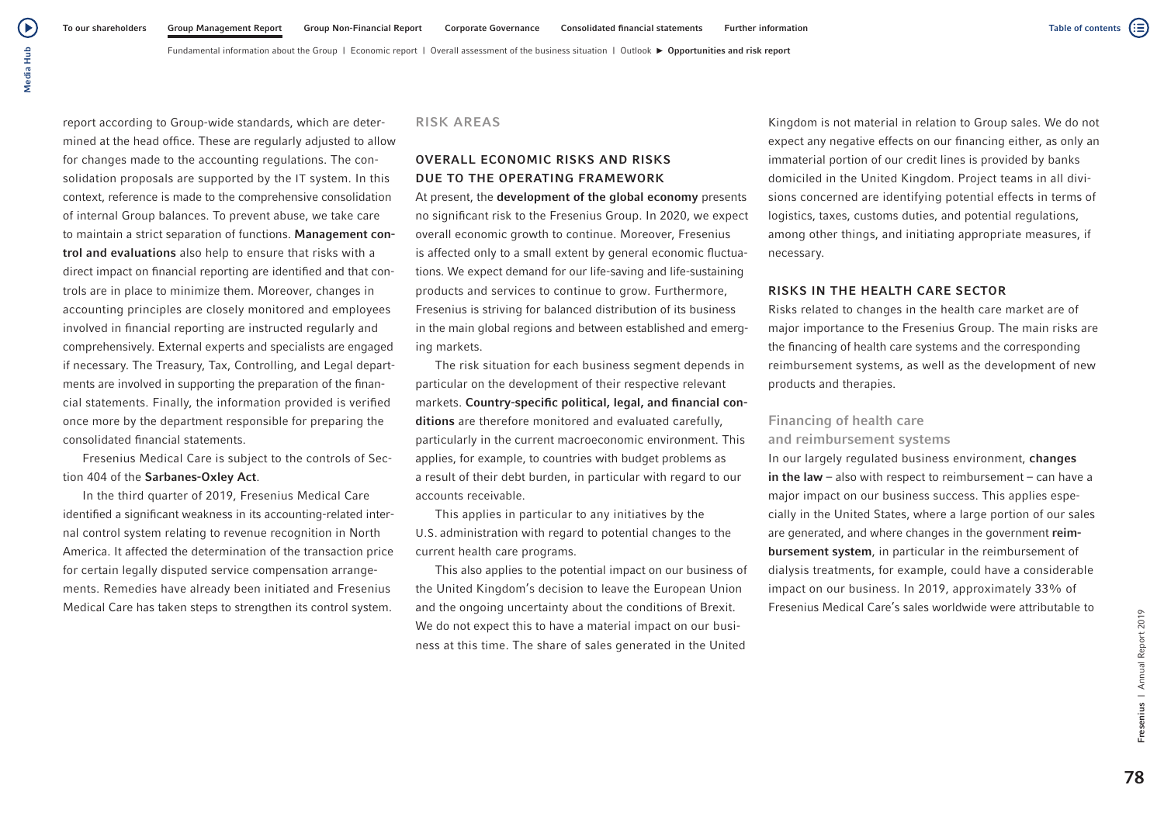Media Hub Media Hub

(▶

report according to Group-wide standards, which are determined at the head office. These are regularly adjusted to allow for changes made to the accounting regulations. The consolidation proposals are supported by the IT system. In this context, reference is made to the comprehensive consolidation of internal Group balances. To prevent abuse, we take care to maintain a strict separation of functions. Management control and evaluations also help to ensure that risks with a direct impact on financial reporting are identified and that controls are in place to minimize them. Moreover, changes in accounting principles are closely monitored and employees involved in financial reporting are instructed regularly and comprehensively. External experts and specialists are engaged if necessary. The Treasury, Tax, Controlling, and Legal departments are involved in supporting the preparation of the financial statements. Finally, the information provided is verified once more by the department responsible for preparing the consolidated financial statements.

Fresenius Medical Care is subject to the controls of Section 404 of the Sarbanes-Oxley Act.

In the third quarter of 2019, Fresenius Medical Care identified a significant weakness in its accounting-related internal control system relating to revenue recognition in North America. It affected the determination of the transaction price for certain legally disputed service compensation arrangements. Remedies have already been initiated and Fresenius Medical Care has taken steps to strengthen its control system.

### RISK AREAS

# OVERALL ECONOMIC RISKS AND RISKS DUE TO THE OPERATING FRAMEWORK

At present, the **development of the global economy** presents no significant risk to the Fresenius Group. In 2020, we expect overall economic growth to continue. Moreover, Fresenius is affected only to a small extent by general economic fluctuations. We expect demand for our life-saving and life-sustaining products and services to continue to grow. Furthermore, Fresenius is striving for balanced distribution of its business in the main global regions and between established and emerging markets.

The risk situation for each business segment depends in particular on the development of their respective relevant markets. Country-specific political, legal, and financial conditions are therefore monitored and evaluated carefully, particularly in the current macroeconomic environment. This applies, for example, to countries with budget problems as a result of their debt burden, in particular with regard to our accounts receivable.

This applies in particular to any initiatives by the U.S. administration with regard to potential changes to the current health care programs.

This also applies to the potential impact on our business of the United Kingdom's decision to leave the European Union and the ongoing uncertainty about the conditions of Brexit. We do not expect this to have a material impact on our business at this time. The share of sales generated in the United

Kingdom is not material in relation to Group sales. We do not expect any negative effects on our financing either, as only an immaterial portion of our credit lines is provided by banks domiciled in the United Kingdom. Project teams in all divisions concerned are identifying potential effects in terms of logistics, taxes, customs duties, and potential regulations, among other things, and initiating appropriate measures, if necessary.

#### RISKS IN THE HEALTH CARE SECTOR

Risks related to changes in the health care market are of major importance to the Fresenius Group. The main risks are the financing of health care systems and the corresponding reimbursement systems, as well as the development of new products and therapies.

# Financing of health care and reimbursement systems

In our largely regulated business environment, changes in the law  $-$  also with respect to reimbursement  $-$  can have a major impact on our business success. This applies especially in the United States, where a large portion of our sales are generated, and where changes in the government reimbursement system, in particular in the reimbursement of dialysis treatments, for example, could have a considerable impact on our business. In 2019, approximately 33% of Fresenius Medical Care's sales worldwide were attributable to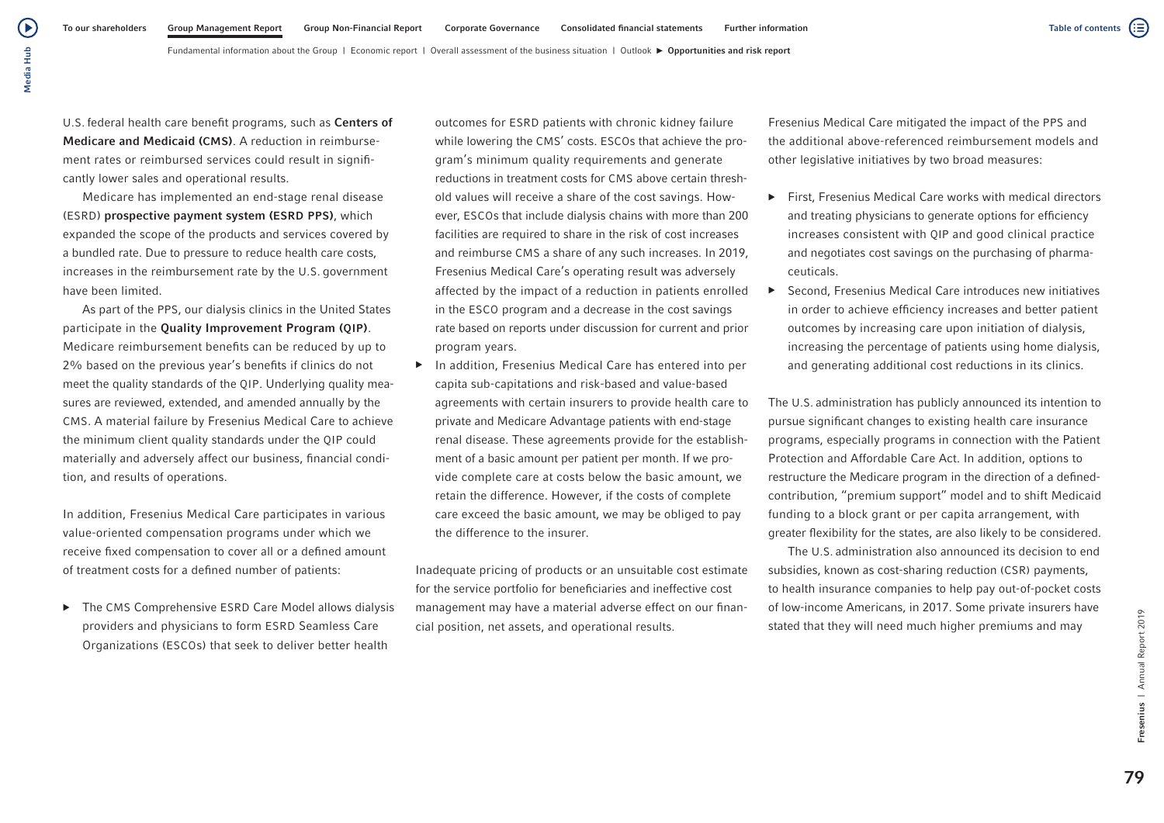Fundamental information about the Group | Economic report | Overall assessment of the business situation | Outlook  $\blacktriangleright$  Opportunities and risk report

U.S. federal health care benefit programs, such as Centers of Medicare and Medicaid (CMS). A reduction in reimbursement rates or reimbursed services could result in significantly lower sales and operational results.

Medicare has implemented an end-stage renal disease (ESRD) prospective payment system (ESRD PPS), which expanded the scope of the products and services covered by a bundled rate. Due to pressure to reduce health care costs, increases in the reimbursement rate by the U.S. government have been limited.

As part of the PPS, our dialysis clinics in the United States participate in the Quality Improvement Program (QIP). Medicare reimbursement benefits can be reduced by up to 2% based on the previous year's benefits if clinics do not meet the quality standards of the QIP. Underlying quality measures are reviewed, extended, and amended annually by the CMS. A material failure by Fresenius Medical Care to achieve the minimum client quality standards under the QIP could materially and adversely affect our business, financial condition, and results of operations.

In addition, Fresenius Medical Care participates in various value-oriented compensation programs under which we receive fixed compensation to cover all or a defined amount of treatment costs for a defined number of patients:

▶ The CMS Comprehensive ESRD Care Model allows dialysis providers and physicians to form ESRD Seamless Care Organizations (ESCOs) that seek to deliver better health

outcomes for ESRD patients with chronic kidney failure while lowering the CMS' costs. ESCOs that achieve the program's minimum quality requirements and generate reductions in treatment costs for CMS above certain threshold values will receive a share of the cost savings. However, ESCOs that include dialysis chains with more than 200 facilities are required to share in the risk of cost increases and reimburse CMS a share of any such increases. In 2019, Fresenius Medical Care's operating result was adversely affected by the impact of a reduction in patients enrolled in the ESCO program and a decrease in the cost savings rate based on reports under discussion for current and prior program years.

▶ In addition, Fresenius Medical Care has entered into per capita sub-capitations and risk-based and value-based agreements with certain insurers to provide health care to private and Medicare Advantage patients with end-stage renal disease. These agreements provide for the establishment of a basic amount per patient per month. If we provide complete care at costs below the basic amount, we retain the difference. However, if the costs of complete care exceed the basic amount, we may be obliged to pay the difference to the insurer.

Inadequate pricing of products or an unsuitable cost estimate for the service portfolio for beneficiaries and ineffective cost management may have a material adverse effect on our financial position, net assets, and operational results.

Fresenius Medical Care mitigated the impact of the PPS and the additional above-referenced reimbursement models and other legislative initiatives by two broad measures:

- ▶ First, Fresenius Medical Care works with medical directors and treating physicians to generate options for efficiency increases consistent with QIP and good clinical practice and negotiates cost savings on the purchasing of pharmaceuticals.
- ▶ Second, Fresenius Medical Care introduces new initiatives in order to achieve efficiency increases and better patient outcomes by increasing care upon initiation of dialysis, increasing the percentage of patients using home dialysis, and generating additional cost reductions in its clinics.

The U.S. administration has publicly announced its intention to pursue significant changes to existing health care insurance programs, especially programs in connection with the Patient Protection and Affordable Care Act. In addition, options to restructure the Medicare program in the direction of a definedcontribution, "premium support" model and to shift Medicaid funding to a block grant or per capita arrangement, with greater flexibility for the states, are also likely to be considered.

The U.S. administration also announced its decision to end subsidies, known as cost-sharing reduction (CSR) payments, to health insurance companies to help pay out-of-pocket costs of low-income Americans, in 2017. Some private insurers have stated that they will need much higher premiums and may

Fresenius | Annual Report 2019 79<br>Fresenius | Annual Report 2019

 $\blacktriangleright$ Media Hub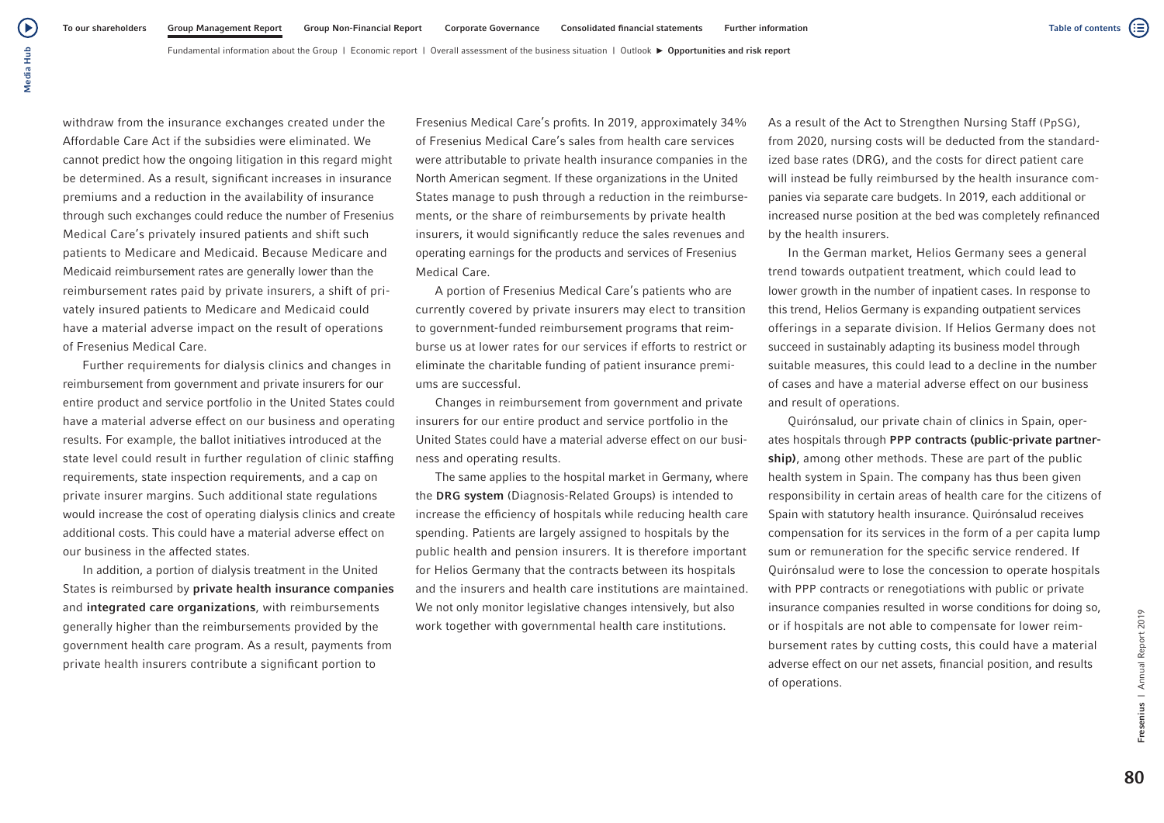Fundamental information about the Group | Economic report | Overall assessment of the business situation | Outlook  $\blacktriangleright$  Opportunities and risk report

withdraw from the insurance exchanges created under the Affordable Care Act if the subsidies were eliminated. We cannot predict how the ongoing litigation in this regard might be determined. As a result, significant increases in insurance premiums and a reduction in the availability of insurance through such exchanges could reduce the number of Fresenius Medical Care's privately insured patients and shift such patients to Medicare and Medicaid. Because Medicare and Medicaid reimbursement rates are generally lower than the reimbursement rates paid by private insurers, a shift of privately insured patients to Medicare and Medicaid could have a material adverse impact on the result of operations of Fresenius Medical Care.

Further requirements for dialysis clinics and changes in reimbursement from government and private insurers for our entire product and service portfolio in the United States could have a material adverse effect on our business and operating results. For example, the ballot initiatives introduced at the state level could result in further regulation of clinic staffing requirements, state inspection requirements, and a cap on private insurer margins. Such additional state regulations would increase the cost of operating dialysis clinics and create additional costs. This could have a material adverse effect on our business in the affected states.

In addition, a portion of dialysis treatment in the United States is reimbursed by private health insurance companies and integrated care organizations, with reimbursements generally higher than the reimbursements provided by the government health care program. As a result, payments from private health insurers contribute a significant portion to

Fresenius Medical Care's profits. In 2019, approximately 34% of Fresenius Medical Care's sales from health care services were attributable to private health insurance companies in the North American segment. If these organizations in the United States manage to push through a reduction in the reimbursements, or the share of reimbursements by private health insurers, it would significantly reduce the sales revenues and operating earnings for the products and services of Fresenius Medical Care.

A portion of Fresenius Medical Care's patients who are currently covered by private insurers may elect to transition to government-funded reimbursement programs that reimburse us at lower rates for our services if efforts to restrict or eliminate the charitable funding of patient insurance premiums are successful.

Changes in reimbursement from government and private insurers for our entire product and service portfolio in the United States could have a material adverse effect on our business and operating results.

The same applies to the hospital market in Germany, where the DRG system (Diagnosis-Related Groups) is intended to increase the efficiency of hospitals while reducing health care spending. Patients are largely assigned to hospitals by the public health and pension insurers. It is therefore important for Helios Germany that the contracts between its hospitals and the insurers and health care institutions are maintained. We not only monitor legislative changes intensively, but also work together with governmental health care institutions.

As a result of the Act to Strengthen Nursing Staff (PpSG), from 2020, nursing costs will be deducted from the standardized base rates (DRG), and the costs for direct patient care will instead be fully reimbursed by the health insurance companies via separate care budgets. In 2019, each additional or increased nurse position at the bed was completely refinanced by the health insurers.

In the German market, Helios Germany sees a general trend towards outpatient treatment, which could lead to lower growth in the number of inpatient cases. In response to this trend, Helios Germany is expanding outpatient services offerings in a separate division. If Helios Germany does not succeed in sustainably adapting its business model through suitable measures, this could lead to a decline in the number of cases and have a material adverse effect on our business and result of operations.

Quirónsalud, our private chain of clinics in Spain, operates hospitals through PPP contracts (public-private partnership), among other methods. These are part of the public health system in Spain. The company has thus been given responsibility in certain areas of health care for the citizens of Spain with statutory health insurance. Quirónsalud receives compensation for its services in the form of a per capita lump sum or remuneration for the specific service rendered. If Quirónsalud were to lose the concession to operate hospitals with PPP contracts or renegotiations with public or private insurance companies resulted in worse conditions for doing so, or if hospitals are not able to compensate for lower reimbursement rates by cutting costs, this could have a material adverse effect on our net assets, financial position, and results of operations.

Fresenius | Annual Report 2019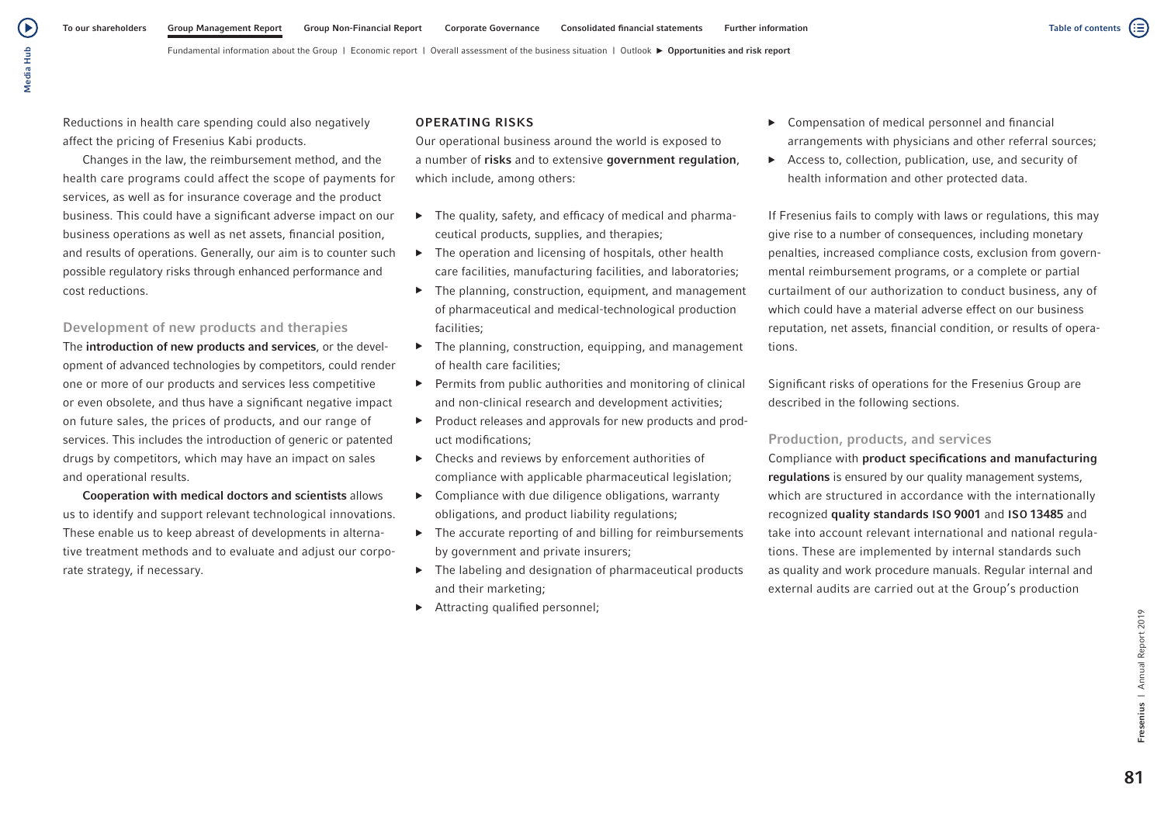Reductions in health care spending could also negatively affect the pricing of Fresenius Kabi products.

Changes in the law, the reimbursement method, and the health care programs could affect the scope of payments for services, as well as for insurance coverage and the product business. This could have a significant adverse impact on our business operations as well as net assets, financial position, and results of operations. Generally, our aim is to counter such possible regulatory risks through enhanced performance and cost reductions.

# Development of new products and therapies

The introduction of new products and services, or the development of advanced technologies by competitors, could render one or more of our products and services less competitive or even obsolete, and thus have a significant negative impact on future sales, the prices of products, and our range of services. This includes the introduction of generic or patented drugs by competitors, which may have an impact on sales and operational results.

Cooperation with medical doctors and scientists allows us to identify and support relevant technological innovations. These enable us to keep abreast of developments in alternative treatment methods and to evaluate and adjust our corporate strategy, if necessary.

## OPERATING RISKS

Our operational business around the world is exposed to a number of risks and to extensive government regulation, which include, among others:

- $\blacktriangleright$  The quality, safety, and efficacy of medical and pharmaceutical products, supplies, and therapies;
- $\triangleright$  The operation and licensing of hospitals, other health care facilities, manufacturing facilities, and laboratories;
- $\blacktriangleright$  The planning, construction, equipment, and management of pharmaceutical and medical-technological production facilities;
- $\blacktriangleright$  The planning, construction, equipping, and management of health care facilities;
- ▶ Permits from public authorities and monitoring of clinical and non-clinical research and development activities;
- ▶ Product releases and approvals for new products and product modifications;
- ▶ Checks and reviews by enforcement authorities of compliance with applicable pharmaceutical legislation;
- ▶ Compliance with due diligence obligations, warranty obligations, and product liability regulations;
- $\triangleright$  The accurate reporting of and billing for reimbursements by government and private insurers;
- ▶ The labeling and designation of pharmaceutical products and their marketing;
- ▶ Attracting qualified personnel;
- ▶ Compensation of medical personnel and financial arrangements with physicians and other referral sources;
- ▶ Access to, collection, publication, use, and security of health information and other protected data.

If Fresenius fails to comply with laws or regulations, this may give rise to a number of consequences, including monetary penalties, increased compliance costs, exclusion from governmental reimbursement programs, or a complete or partial curtailment of our authorization to conduct business, any of which could have a material adverse effect on our business reputation, net assets, financial condition, or results of operations.

Significant risks of operations for the Fresenius Group are described in the following sections.

## Production, products, and services

Compliance with product specifications and manufacturing regulations is ensured by our quality management systems, which are structured in accordance with the internationally recognized quality standards ISO 9001 and ISO 13485 and take into account relevant international and national regulations. These are implemented by internal standards such as quality and work procedure manuals. Regular internal and external audits are carried out at the Group's production

81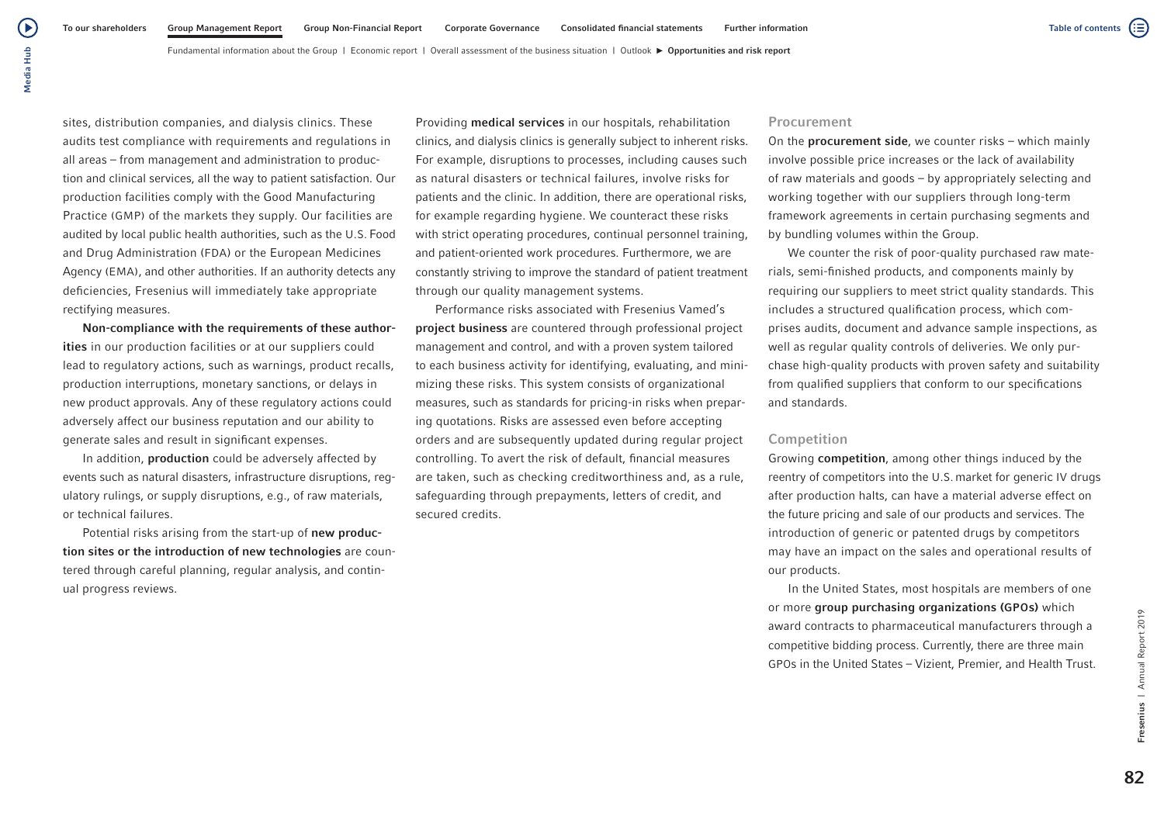Fundamental information about the Group | Economic report | Overall assessment of the business situation | Outlook  $\blacktriangleright$  Opportunities and risk report

sites, distribution companies, and dialysis clinics. These audits test compliance with requirements and regulations in all areas – from management and administration to production and clinical services, all the way to patient satisfaction. Our production facilities comply with the Good Manufacturing Practice (GMP) of the markets they supply. Our facilities are audited by local public health authorities, such as the U.S. Food and Drug Administration (FDA) or the European Medicines Agency (EMA), and other authorities. If an authority detects any deficiencies, Fresenius will immediately take appropriate rectifying measures.

Non-compliance with the requirements of these authorities in our production facilities or at our suppliers could lead to regulatory actions, such as warnings, product recalls, production interruptions, monetary sanctions, or delays in new product approvals. Any of these regulatory actions could adversely affect our business reputation and our ability to generate sales and result in significant expenses.

In addition, production could be adversely affected by events such as natural disasters, infrastructure disruptions, regulatory rulings, or supply disruptions, e.g., of raw materials, or technical failures.

Potential risks arising from the start-up of new production sites or the introduction of new technologies are countered through careful planning, regular analysis, and continual progress reviews.

Providing medical services in our hospitals, rehabilitation clinics, and dialysis clinics is generally subject to inherent risks. For example, disruptions to processes, including causes such as natural disasters or technical failures, involve risks for patients and the clinic. In addition, there are operational risks, for example regarding hygiene. We counteract these risks with strict operating procedures, continual personnel training, and patient-oriented work procedures. Furthermore, we are constantly striving to improve the standard of patient treatment through our quality management systems.

Performance risks associated with Fresenius Vamed's project business are countered through professional project management and control, and with a proven system tailored to each business activity for identifying, evaluating, and minimizing these risks. This system consists of organizational measures, such as standards for pricing-in risks when preparing quotations. Risks are assessed even before accepting orders and are subsequently updated during regular project controlling. To avert the risk of default, financial measures are taken, such as checking creditworthiness and, as a rule, safeguarding through prepayments, letters of credit, and secured credits.

#### Procurement

On the procurement side, we counter risks – which mainly involve possible price increases or the lack of availability of raw materials and goods – by appropriately selecting and working together with our suppliers through long-term framework agreements in certain purchasing segments and by bundling volumes within the Group.

We counter the risk of poor-quality purchased raw materials, semi-finished products, and components mainly by requiring our suppliers to meet strict quality standards. This includes a structured qualification process, which comprises audits, document and advance sample inspections, as well as regular quality controls of deliveries. We only purchase high-quality products with proven safety and suitability from qualified suppliers that conform to our specifications and standards.

#### Competition

Growing competition, among other things induced by the reentry of competitors into the U.S. market for generic IV drugs after production halts, can have a material adverse effect on the future pricing and sale of our products and services. The introduction of generic or patented drugs by competitors may have an impact on the sales and operational results of our products.

In the United States, most hospitals are members of one or more group purchasing organizations (GPOs) which award contracts to pharmaceutical manufacturers through a competitive bidding process. Currently, there are three main GPOs in the United States – Vizient, Premier, and Health Trust.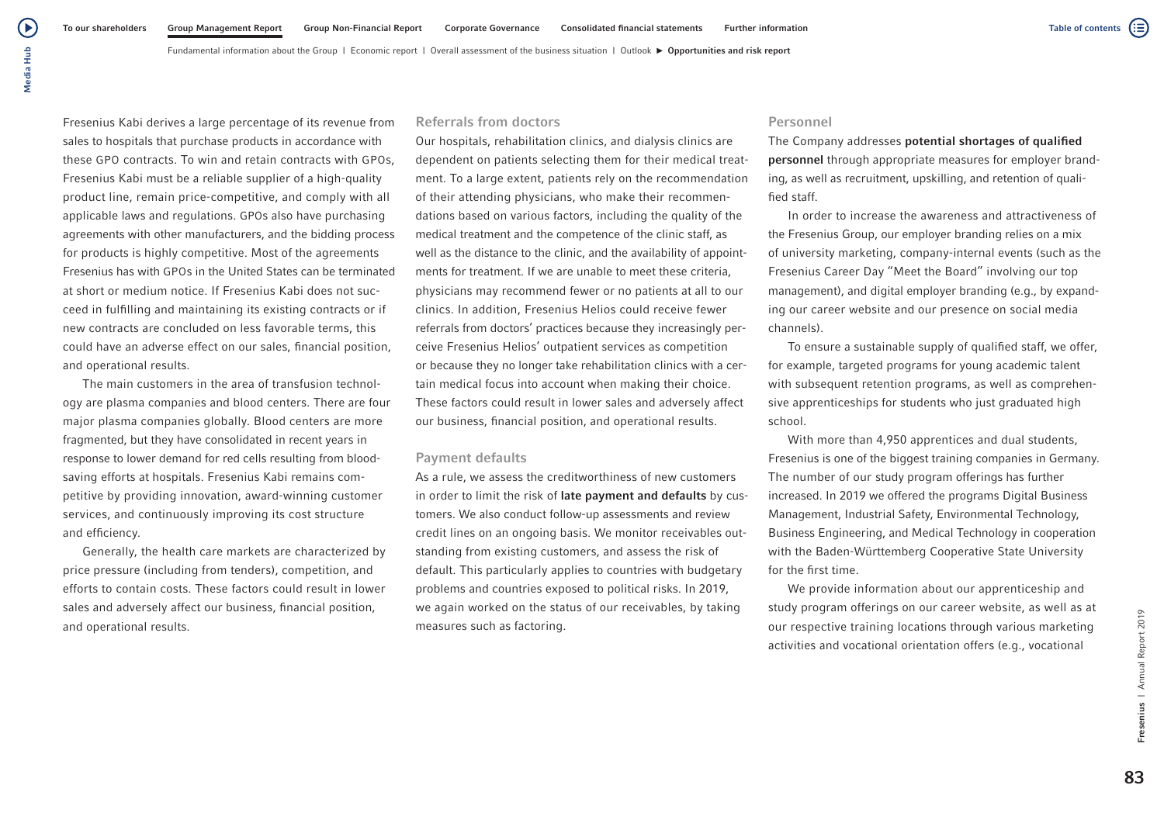Fresenius Kabi derives a large percentage of its revenue from sales to hospitals that purchase products in accordance with these GPO contracts. To win and retain contracts with GPOs, Fresenius Kabi must be a reliable supplier of a high-quality product line, remain price-competitive, and comply with all applicable laws and regulations. GPOs also have purchasing agreements with other manufacturers, and the bidding process for products is highly competitive. Most of the agreements Fresenius has with GPOs in the United States can be terminated at short or medium notice. If Fresenius Kabi does not succeed in fulfilling and maintaining its existing contracts or if new contracts are concluded on less favorable terms, this could have an adverse effect on our sales, financial position, and operational results.

Media Hub

Media Hub

 $\blacktriangleright$ 

The main customers in the area of transfusion technology are plasma companies and blood centers. There are four major plasma companies globally. Blood centers are more fragmented, but they have consolidated in recent years in response to lower demand for red cells resulting from bloodsaving efforts at hospitals. Fresenius Kabi remains competitive by providing innovation, award-winning customer services, and continuously improving its cost structure and efficiency.

Generally, the health care markets are characterized by price pressure (including from tenders), competition, and efforts to contain costs. These factors could result in lower sales and adversely affect our business, financial position, and operational results.

### Referrals from doctors

Our hospitals, rehabilitation clinics, and dialysis clinics are dependent on patients selecting them for their medical treatment. To a large extent, patients rely on the recommendation of their attending physicians, who make their recommendations based on various factors, including the quality of the medical treatment and the competence of the clinic staff, as well as the distance to the clinic, and the availability of appointments for treatment. If we are unable to meet these criteria, physicians may recommend fewer or no patients at all to our clinics. In addition, Fresenius Helios could receive fewer referrals from doctors' practices because they increasingly perceive Fresenius Helios' outpatient services as competition or because they no longer take rehabilitation clinics with a certain medical focus into account when making their choice. These factors could result in lower sales and adversely affect our business, financial position, and operational results.

### Payment defaults

As a rule, we assess the creditworthiness of new customers in order to limit the risk of late payment and defaults by customers. We also conduct follow-up assessments and review credit lines on an ongoing basis. We monitor receivables outstanding from existing customers, and assess the risk of default. This particularly applies to countries with budgetary problems and countries exposed to political risks. In 2019, we again worked on the status of our receivables, by taking measures such as factoring.

## Personnel

The Company addresses potential shortages of qualified personnel through appropriate measures for employer branding, as well as recruitment, upskilling, and retention of qualified staff.

In order to increase the awareness and attractiveness of the Fresenius Group, our employer branding relies on a mix of university marketing, company-internal events (such as the Fresenius Career Day "Meet the Board" involving our top management), and digital employer branding (e.g., by expanding our career website and our presence on social media channels).

To ensure a sustainable supply of qualified staff, we offer, for example, targeted programs for young academic talent with subsequent retention programs, as well as comprehensive apprenticeships for students who just graduated high school.

With more than 4,950 apprentices and dual students, Fresenius is one of the biggest training companies in Germany. The number of our study program offerings has further increased. In 2019 we offered the programs Digital Business Management, Industrial Safety, Environmental Technology, Business Engineering, and Medical Technology in cooperation with the Baden-Württemberg Cooperative State University for the first time.

We provide information about our apprenticeship and study program offerings on our career website, as well as at our respective training locations through various marketing activities and vocational orientation offers (e.g., vocational

Fresenius | Annual Report 2019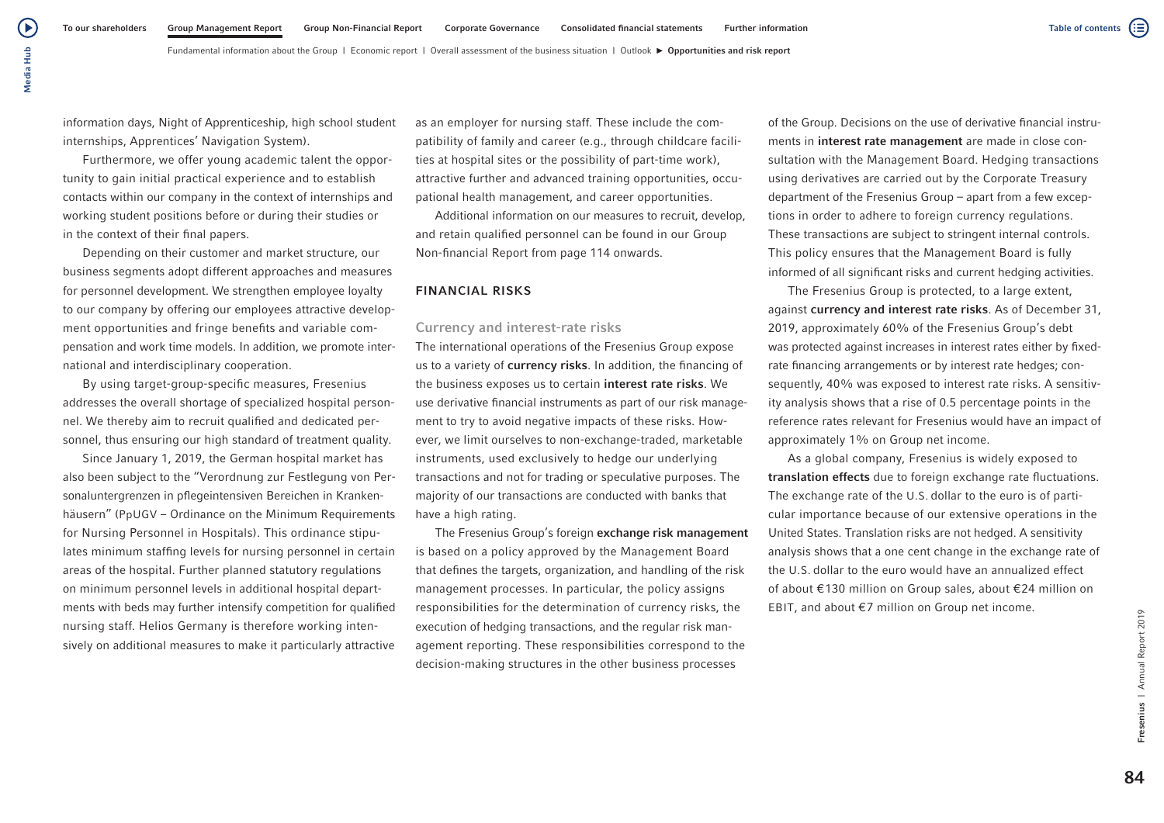Media Hub Media Hub

(▶

information days, Night of Apprenticeship, high school student internships, Apprentices' Navigation System).

Furthermore, we offer young academic talent the opportunity to gain initial practical experience and to establish contacts within our company in the context of internships and working student positions before or during their studies or in the context of their final papers.

Depending on their customer and market structure, our business segments adopt different approaches and measures for personnel development. We strengthen employee loyalty to our company by offering our employees attractive development opportunities and fringe benefits and variable compensation and work time models. In addition, we promote international and interdisciplinary cooperation.

By using target-group-specific measures, Fresenius addresses the overall shortage of specialized hospital personnel. We thereby aim to recruit qualified and dedicated personnel, thus ensuring our high standard of treatment quality.

Since January 1, 2019, the German hospital market has also been subject to the "Verordnung zur Festlegung von Personaluntergrenzen in pflegeintensiven Bereichen in Krankenhäusern" (PpUGV – Ordinance on the Minimum Requirements for Nursing Personnel in Hospitals). This ordinance stipulates minimum staffing levels for nursing personnel in certain areas of the hospital. Further planned statutory regulations on minimum personnel levels in additional hospital departments with beds may further intensify competition for qualified nursing staff. Helios Germany is therefore working intensively on additional measures to make it particularly attractive as an employer for nursing staff. These include the compatibility of family and career (e.g., through childcare facilities at hospital sites or the possibility of part-time work), attractive further and advanced training opportunities, occupational health management, and career opportunities.

Additional information on our measures to recruit, develop, and retain qualified personnel can be found in our Group Non-financial Report from page 114 onwards.

#### FINANCIAL RISKS

#### Currency and interest-rate risks

The international operations of the Fresenius Group expose us to a variety of currency risks. In addition, the financing of the business exposes us to certain interest rate risks. We use derivative financial instruments as part of our risk management to try to avoid negative impacts of these risks. However, we limit ourselves to non-exchange-traded, marketable instruments, used exclusively to hedge our underlying transactions and not for trading or speculative purposes. The majority of our transactions are conducted with banks that have a high rating.

The Fresenius Group's foreign exchange risk management is based on a policy approved by the Management Board that defines the targets, organization, and handling of the risk management processes. In particular, the policy assigns responsibilities for the determination of currency risks, the execution of hedging transactions, and the regular risk management reporting. These responsibilities correspond to the decision-making structures in the other business processes

of the Group. Decisions on the use of derivative financial instruments in interest rate management are made in close consultation with the Management Board. Hedging transactions using derivatives are carried out by the Corporate Treasury department of the Fresenius Group – apart from a few exceptions in order to adhere to foreign currency regulations. These transactions are subject to stringent internal controls. This policy ensures that the Management Board is fully informed of all significant risks and current hedging activities.

The Fresenius Group is protected, to a large extent, against currency and interest rate risks. As of December 31, 2019, approximately 60% of the Fresenius Group's debt was protected against increases in interest rates either by fixedrate financing arrangements or by interest rate hedges; consequently, 40% was exposed to interest rate risks. A sensitivity analysis shows that a rise of 0.5 percentage points in the reference rates relevant for Fresenius would have an impact of approximately 1% on Group net income.

As a global company, Fresenius is widely exposed to translation effects due to foreign exchange rate fluctuations. The exchange rate of the U.S. dollar to the euro is of particular importance because of our extensive operations in the United States. Translation risks are not hedged. A sensitivity analysis shows that a one cent change in the exchange rate of the U.S. dollar to the euro would have an annualized effect of about €130 million on Group sales, about €24 million on EBIT, and about €7 million on Group net income.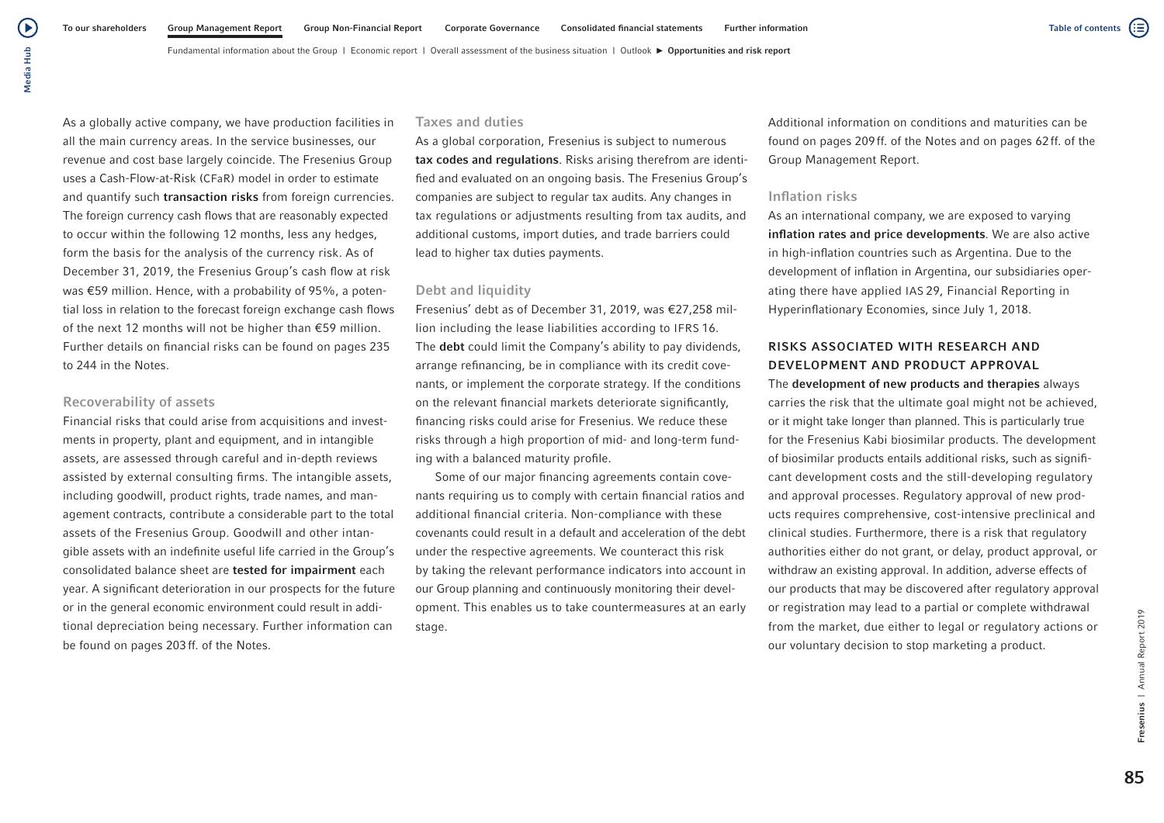Fundamental information about the Group | Economic report | Overall assessment of the business situation | Outlook  $\blacktriangleright$  Opportunities and risk report

As a globally active company, we have production facilities in all the main currency areas. In the service businesses, our revenue and cost base largely coincide. The Fresenius Group uses a Cash-Flow-at-Risk (CFaR) model in order to estimate and quantify such **transaction risks** from foreign currencies. The foreign currency cash flows that are reasonably expected to occur within the following 12 months, less any hedges, form the basis for the analysis of the currency risk. As of December 31, 2019, the Fresenius Group's cash flow at risk was €59 million. Hence, with a probability of 95%, a potential loss in relation to the forecast foreign exchange cash flows of the next 12 months will not be higher than €59 million. Further details on financial risks can be found on pages 235 to 244 in the Notes.

#### Recoverability of assets

Financial risks that could arise from acquisitions and investments in property, plant and equipment, and in intangible assets, are assessed through careful and in-depth reviews assisted by external consulting firms. The intangible assets, including goodwill, product rights, trade names, and management contracts, contribute a considerable part to the total assets of the Fresenius Group. Goodwill and other intangible assets with an indefinite useful life carried in the Group's consolidated balance sheet are tested for impairment each year. A significant deterioration in our prospects for the future or in the general economic environment could result in additional depreciation being necessary. Further information can be found on pages 203ff. of the Notes.

### Taxes and duties

As a global corporation, Fresenius is subject to numerous tax codes and regulations. Risks arising therefrom are identified and evaluated on an ongoing basis. The Fresenius Group's companies are subject to regular tax audits. Any changes in tax regulations or adjustments resulting from tax audits, and additional customs, import duties, and trade barriers could lead to higher tax duties payments.

### Debt and liquidity

Fresenius' debt as of December 31, 2019, was €27,258 million including the lease liabilities according to IFRS 16. The debt could limit the Company's ability to pay dividends, arrange refinancing, be in compliance with its credit covenants, or implement the corporate strategy. If the conditions on the relevant financial markets deteriorate significantly, financing risks could arise for Fresenius. We reduce these risks through a high proportion of mid- and long-term funding with a balanced maturity profile.

Some of our major financing agreements contain covenants requiring us to comply with certain financial ratios and additional financial criteria. Non-compliance with these covenants could result in a default and acceleration of the debt under the respective agreements. We counteract this risk by taking the relevant performance indicators into account in our Group planning and continuously monitoring their development. This enables us to take countermeasures at an early stage.

Additional information on conditions and maturities can be found on pages 209ff. of the Notes and on pages 62ff. of the Group Management Report.

### Inflation risks

As an international company, we are exposed to varying inflation rates and price developments. We are also active in high-inflation countries such as Argentina. Due to the development of inflation in Argentina, our subsidiaries operating there have applied IAS 29, Financial Reporting in Hyperinflationary Economies, since July 1, 2018.

# RISKS ASSOCIATED WITH RESEARCH AND DEVELOPMENT AND PRODUCT APPROVAL

# The development of new products and therapies always

carries the risk that the ultimate goal might not be achieved, or it might take longer than planned. This is particularly true for the Fresenius Kabi biosimilar products. The development of biosimilar products entails additional risks, such as significant development costs and the still-developing regulatory and approval processes. Regulatory approval of new products requires comprehensive, cost-intensive preclinical and clinical studies. Furthermore, there is a risk that regulatory authorities either do not grant, or delay, product approval, or withdraw an existing approval. In addition, adverse effects of our products that may be discovered after regulatory approval or registration may lead to a partial or complete withdrawal from the market, due either to legal or regulatory actions or our voluntary decision to stop marketing a product.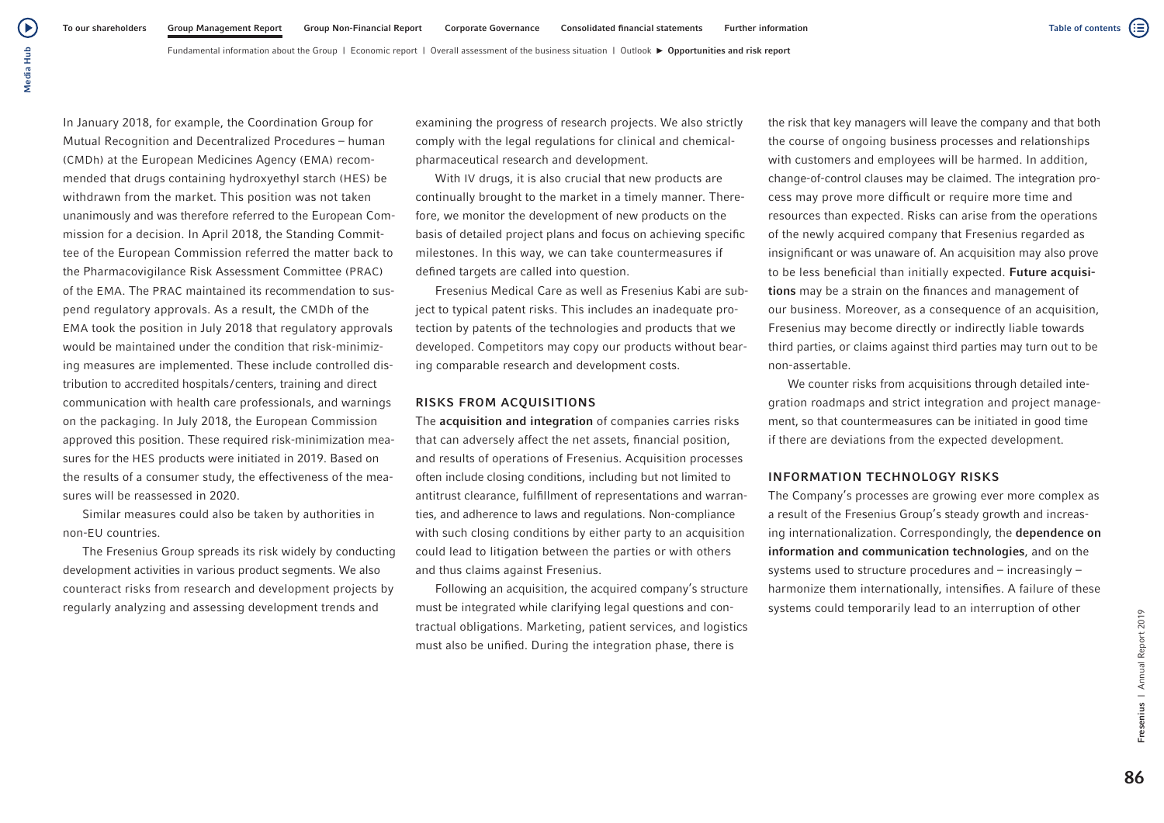In January 2018, for example, the Coordination Group for Mutual Recognition and Decentralized Procedures – human (CMDh) at the European Medicines Agency (EMA) recommended that drugs containing hydroxyethyl starch (HES) be withdrawn from the market. This position was not taken unanimously and was therefore referred to the European Commission for a decision. In April 2018, the Standing Committee of the European Commission referred the matter back to the Pharmacovigilance Risk Assessment Committee (PRAC) of the EMA. The PRAC maintained its recommendation to suspend regulatory approvals. As a result, the CMDh of the EMA took the position in July 2018 that regulatory approvals would be maintained under the condition that risk-minimizing measures are implemented. These include controlled distribution to accredited hospitals/centers, training and direct communication with health care professionals, and warnings on the packaging. In July 2018, the European Commission approved this position. These required risk-minimization measures for the HES products were initiated in 2019. Based on

the results of a consumer study, the effectiveness of the measures will be reassessed in 2020.

Similar measures could also be taken by authorities in non-EU countries.

The Fresenius Group spreads its risk widely by conducting development activities in various product segments. We also counteract risks from research and development projects by regularly analyzing and assessing development trends and

examining the progress of research projects. We also strictly comply with the legal regulations for clinical and chemicalpharmaceutical research and development.

With IV drugs, it is also crucial that new products are continually brought to the market in a timely manner. Therefore, we monitor the development of new products on the basis of detailed project plans and focus on achieving specific milestones. In this way, we can take countermeasures if defined targets are called into question.

Fresenius Medical Care as well as Fresenius Kabi are subject to typical patent risks. This includes an inadequate protection by patents of the technologies and products that we developed. Competitors may copy our products without bearing comparable research and development costs.

#### RISKS FROM ACQUISITIONS

The acquisition and integration of companies carries risks that can adversely affect the net assets, financial position, and results of operations of Fresenius. Acquisition processes often include closing conditions, including but not limited to antitrust clearance, fulfillment of representations and warranties, and adherence to laws and regulations. Non-compliance with such closing conditions by either party to an acquisition could lead to litigation between the parties or with others and thus claims against Fresenius.

Following an acquisition, the acquired company's structure must be integrated while clarifying legal questions and contractual obligations. Marketing, patient services, and logistics must also be unified. During the integration phase, there is

the risk that key managers will leave the company and that both the course of ongoing business processes and relationships with customers and employees will be harmed. In addition, change-of-control clauses may be claimed. The integration process may prove more difficult or require more time and resources than expected. Risks can arise from the operations of the newly acquired company that Fresenius regarded as insignificant or was unaware of. An acquisition may also prove to be less beneficial than initially expected. Future acquisitions may be a strain on the finances and management of our business. Moreover, as a consequence of an acquisition, Fresenius may become directly or indirectly liable towards third parties, or claims against third parties may turn out to be non-assertable.

We counter risks from acquisitions through detailed integration roadmaps and strict integration and project management, so that countermeasures can be initiated in good time if there are deviations from the expected development.

#### INFORMATION TECHNOLOGY RISKS

The Company's processes are growing ever more complex as a result of the Fresenius Group's steady growth and increasing internationalization. Correspondingly, the dependence on information and communication technologies, and on the systems used to structure procedures and – increasingly – harmonize them internationally, intensifies. A failure of these systems could temporarily lead to an interruption of other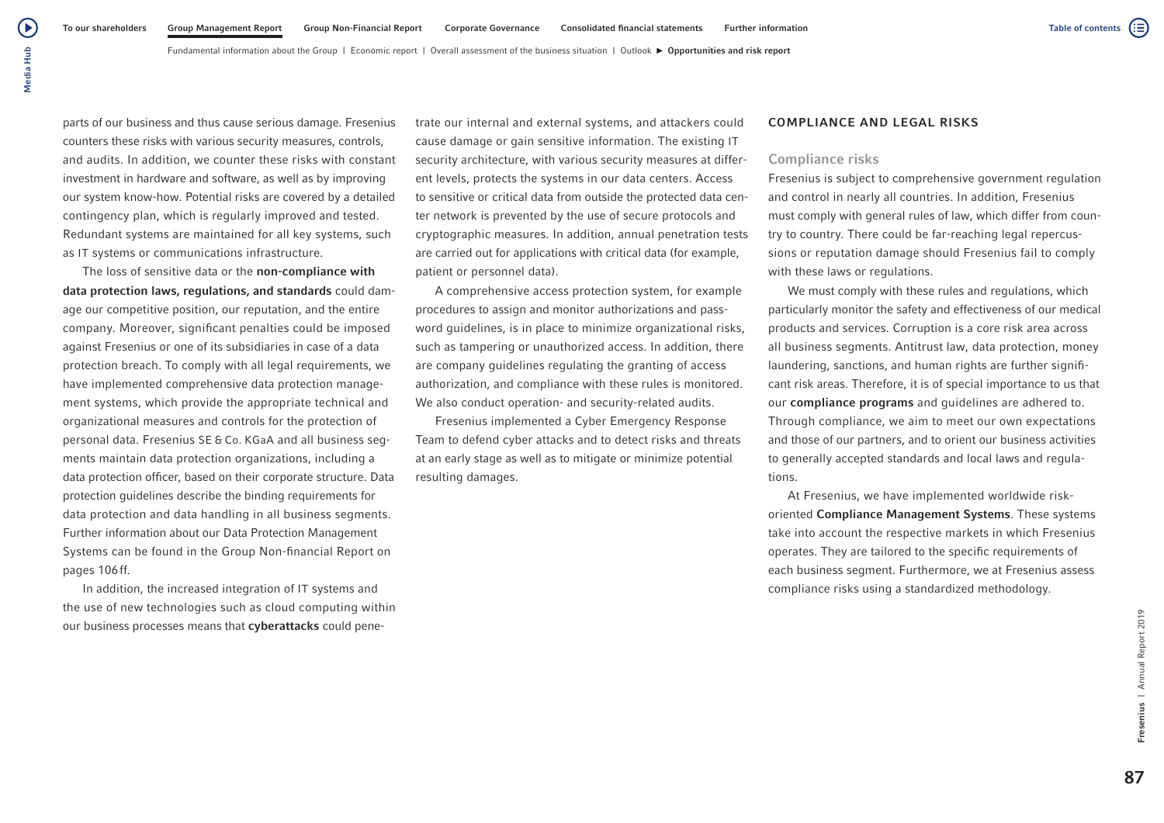parts of our business and thus cause serious damage. Fresenius counters these risks with various security measures, controls, and audits. In addition, we counter these risks with constant investment in hardware and software, as well as by improving our system know-how. Potential risks are covered by a detailed contingency plan, which is regularly improved and tested. Redundant systems are maintained for all key systems, such as IT systems or communications infrastructure.

The loss of sensitive data or the non-compliance with data protection laws, regulations, and standards could damage our competitive position, our reputation, and the entire company. Moreover, significant penalties could be imposed against Fresenius or one of its subsidiaries in case of a data protection breach. To comply with all legal requirements, we have implemented comprehensive data protection management systems, which provide the appropriate technical and organizational measures and controls for the protection of personal data. Fresenius SE & Co. KGaA and all business segments maintain data protection organizations, including a data protection officer, based on their corporate structure. Data protection guidelines describe the binding requirements for data protection and data handling in all business segments. Further information about our Data Protection Management Systems can be found in the Group Non-financial Report on pages 106ff.

In addition, the increased integration of IT systems and the use of new technologies such as cloud computing within our business processes means that cyberattacks could penetrate our internal and external systems, and attackers could cause damage or gain sensitive information. The existing IT security architecture, with various security measures at different levels, protects the systems in our data centers. Access to sensitive or critical data from outside the protected data center network is prevented by the use of secure protocols and cryptographic measures. In addition, annual penetration tests are carried out for applications with critical data (for example, patient or personnel data).

A comprehensive access protection system, for example procedures to assign and monitor authorizations and password guidelines, is in place to minimize organizational risks, such as tampering or unauthorized access. In addition, there are company guidelines regulating the granting of access authorization, and compliance with these rules is monitored. We also conduct operation- and security-related audits.

Fresenius implemented a Cyber Emergency Response Team to defend cyber attacks and to detect risks and threats at an early stage as well as to mitigate or minimize potential resulting damages.

#### COMPLIANCE AND LEGAL RISKS

#### Compliance risks

Fresenius is subject to comprehensive government regulation and control in nearly all countries. In addition, Fresenius must comply with general rules of law, which differ from country to country. There could be far-reaching legal repercussions or reputation damage should Fresenius fail to comply with these laws or regulations.

We must comply with these rules and regulations, which particularly monitor the safety and effectiveness of our medical products and services. Corruption is a core risk area across all business segments. Antitrust law, data protection, money laundering, sanctions, and human rights are further significant risk areas. Therefore, it is of special importance to us that our compliance programs and guidelines are adhered to. Through compliance, we aim to meet our own expectations and those of our partners, and to orient our business activities to generally accepted standards and local laws and regulations.

At Fresenius, we have implemented worldwide riskoriented Compliance Management Systems. These systems take into account the respective markets in which Fresenius operates. They are tailored to the specific requirements of each business segment. Furthermore, we at Fresenius assess compliance risks using a standardized methodology.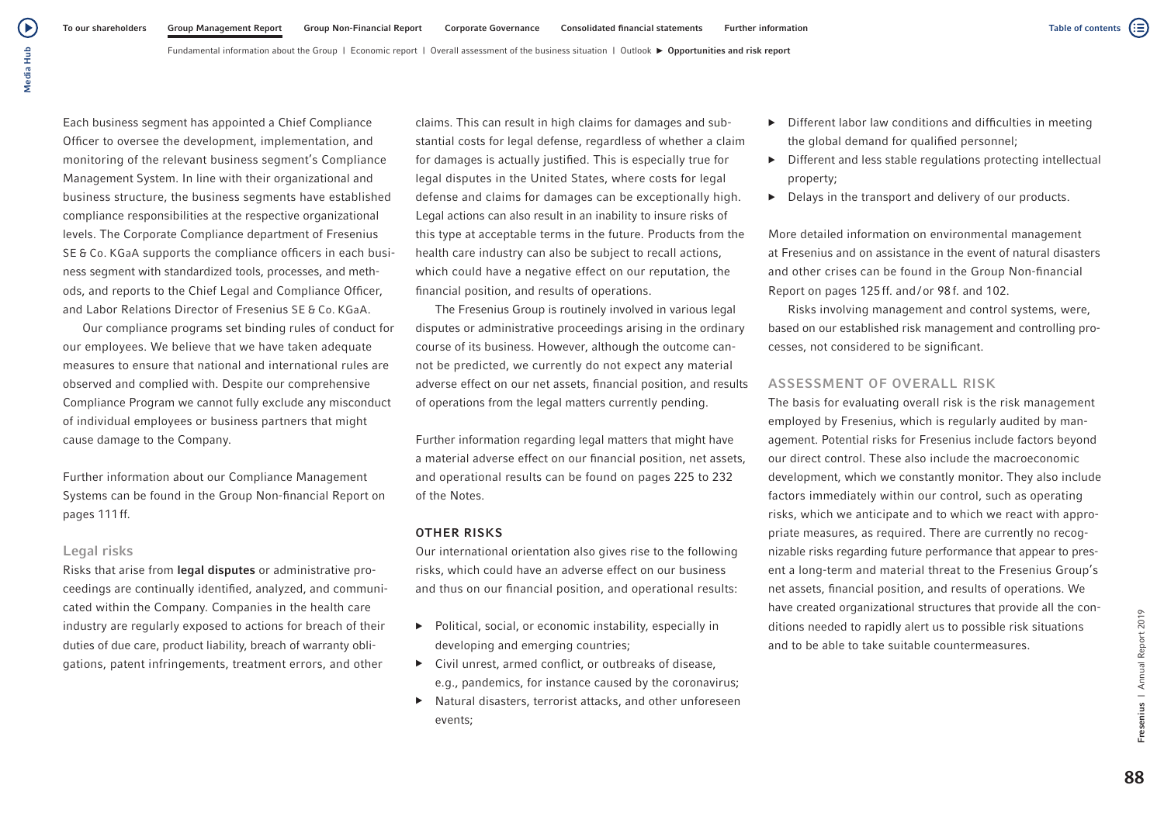Each business segment has appointed a Chief Compliance Officer to oversee the development, implementation, and monitoring of the relevant business segment's Compliance Management System. In line with their organizational and business structure, the business segments have established compliance responsibilities at the respective organizational levels. The Corporate Compliance department of Fresenius SE & Co. KGaA supports the compliance officers in each business segment with standardized tools, processes, and methods, and reports to the Chief Legal and Compliance Officer, and Labor Relations Director of Fresenius SE & Co. KGaA.

Our compliance programs set binding rules of conduct for our employees. We believe that we have taken adequate measures to ensure that national and international rules are observed and complied with. Despite our comprehensive Compliance Program we cannot fully exclude any misconduct of individual employees or business partners that might cause damage to the Company.

Further information about our Compliance Management Systems can be found in the Group Non-financial Report on pages 111ff.

## Legal risks

Risks that arise from legal disputes or administrative proceedings are continually identified, analyzed, and communicated within the Company. Companies in the health care industry are regularly exposed to actions for breach of their duties of due care, product liability, breach of warranty obligations, patent infringements, treatment errors, and other

claims. This can result in high claims for damages and substantial costs for legal defense, regardless of whether a claim for damages is actually justified. This is especially true for legal disputes in the United States, where costs for legal defense and claims for damages can be exceptionally high. Legal actions can also result in an inability to insure risks of this type at acceptable terms in the future. Products from the health care industry can also be subject to recall actions, which could have a negative effect on our reputation, the financial position, and results of operations.

The Fresenius Group is routinely involved in various legal disputes or administrative proceedings arising in the ordinary course of its business. However, although the outcome cannot be predicted, we currently do not expect any material adverse effect on our net assets, financial position, and results of operations from the legal matters currently pending.

Further information regarding legal matters that might have a material adverse effect on our financial position, net assets, and operational results can be found on pages 225 to 232 of the Notes.

### OTHER RISKS

Our international orientation also gives rise to the following risks, which could have an adverse effect on our business and thus on our financial position, and operational results:

- ▶ Political, social, or economic instability, especially in developing and emerging countries;
- ▶ Civil unrest, armed conflict, or outbreaks of disease, e.g., pandemics, for instance caused by the coronavirus;
- ▶ Natural disasters, terrorist attacks, and other unforeseen events;
- $\triangleright$  Different labor law conditions and difficulties in meeting the global demand for qualified personnel;
- $\triangleright$  Different and less stable regulations protecting intellectual property;
- $\blacktriangleright$  Delays in the transport and delivery of our products.

More detailed information on environmental management at Fresenius and on assistance in the event of natural disasters and other crises can be found in the Group Non-financial Report on pages 125ff. and/or 98f. and 102.

Risks involving management and control systems, were, based on our established risk management and controlling processes, not considered to be significant.

## ASSESSMENT OF OVERALL RISK

The basis for evaluating overall risk is the risk management employed by Fresenius, which is regularly audited by management. Potential risks for Fresenius include factors beyond our direct control. These also include the macroeconomic development, which we constantly monitor. They also include factors immediately within our control, such as operating risks, which we anticipate and to which we react with appropriate measures, as required. There are currently no recognizable risks regarding future performance that appear to present a long-term and material threat to the Fresenius Group's net assets, financial position, and results of operations. We have created organizational structures that provide all the conditions needed to rapidly alert us to possible risk situations and to be able to take suitable countermeasures.

(≔)